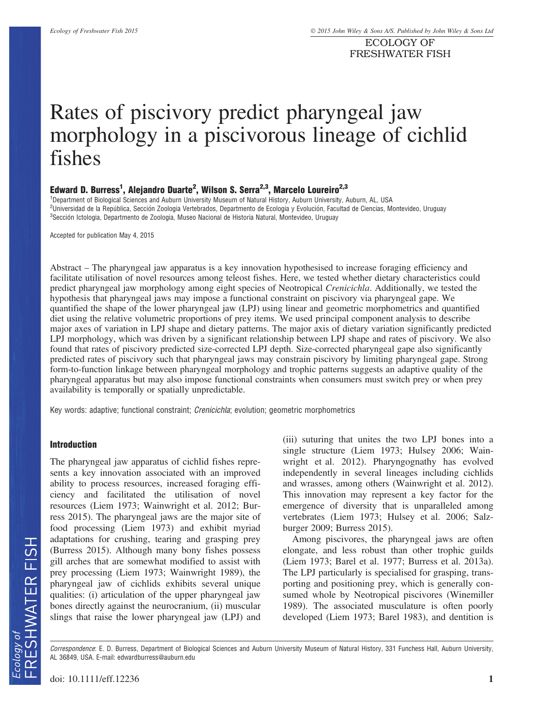ECOLOGY OF FRESHWATER FISH

# Rates of piscivory predict pharyngeal jaw morphology in a piscivorous lineage of cichlid fishes

# Edward D. Burress<sup>1</sup>, Alejandro Duarte<sup>2</sup>, Wilson S. Serra<sup>2,3</sup>, Marcelo Loureiro<sup>2,3</sup>

1 Department of Biological Sciences and Auburn University Museum of Natural History, Auburn University, Auburn, AL, USA <sup>2</sup>Universidad de la República, Sección Zoologia Vertebrados, Departmento de Ecologia y Evolución, Facultad de Ciencias, Montevideo, Uruguay  $^3$ Sección Ictologia, Departmento de Zoologia, Museo Nacional de Historia Natural, Montevideo, Uruguay

Accepted for publication May 4, 2015

Abstract – The pharyngeal jaw apparatus is a key innovation hypothesised to increase foraging efficiency and facilitate utilisation of novel resources among teleost fishes. Here, we tested whether dietary characteristics could predict pharyngeal jaw morphology among eight species of Neotropical Crenicichla. Additionally, we tested the hypothesis that pharyngeal jaws may impose a functional constraint on piscivory via pharyngeal gape. We quantified the shape of the lower pharyngeal jaw (LPJ) using linear and geometric morphometrics and quantified diet using the relative volumetric proportions of prey items. We used principal component analysis to describe major axes of variation in LPJ shape and dietary patterns. The major axis of dietary variation significantly predicted LPJ morphology, which was driven by a significant relationship between LPJ shape and rates of piscivory. We also found that rates of piscivory predicted size-corrected LPJ depth. Size-corrected pharyngeal gape also significantly predicted rates of piscivory such that pharyngeal jaws may constrain piscivory by limiting pharyngeal gape. Strong form-to-function linkage between pharyngeal morphology and trophic patterns suggests an adaptive quality of the pharyngeal apparatus but may also impose functional constraints when consumers must switch prey or when prey availability is temporally or spatially unpredictable.

Key words: adaptive; functional constraint; Crenicichla; evolution; geometric morphometrics

#### Introduction

The pharyngeal jaw apparatus of cichlid fishes represents a key innovation associated with an improved ability to process resources, increased foraging efficiency and facilitated the utilisation of novel resources (Liem 1973; Wainwright et al. 2012; Burress 2015). The pharyngeal jaws are the major site of food processing (Liem 1973) and exhibit myriad adaptations for crushing, tearing and grasping prey (Burress 2015). Although many bony fishes possess gill arches that are somewhat modified to assist with prey processing (Liem 1973; Wainwright 1989), the pharyngeal jaw of cichlids exhibits several unique qualities: (i) articulation of the upper pharyngeal jaw bones directly against the neurocranium, (ii) muscular slings that raise the lower pharyngeal jaw (LPJ) and (iii) suturing that unites the two LPJ bones into a single structure (Liem 1973; Hulsey 2006; Wainwright et al. 2012). Pharyngognathy has evolved independently in several lineages including cichlids and wrasses, among others (Wainwright et al. 2012). This innovation may represent a key factor for the emergence of diversity that is unparalleled among vertebrates (Liem 1973; Hulsey et al. 2006; Salzburger 2009; Burress 2015).

Among piscivores, the pharyngeal jaws are often elongate, and less robust than other trophic guilds (Liem 1973; Barel et al. 1977; Burress et al. 2013a). The LPJ particularly is specialised for grasping, transporting and positioning prey, which is generally consumed whole by Neotropical piscivores (Winemiller 1989). The associated musculature is often poorly developed (Liem 1973; Barel 1983), and dentition is

Correspondence: E. D. Burress, Department of Biological Sciences and Auburn University Museum of Natural History, 331 Funchess Hall, Auburn University, AL 36849, USA. E-mail: edwardburress@auburn.edu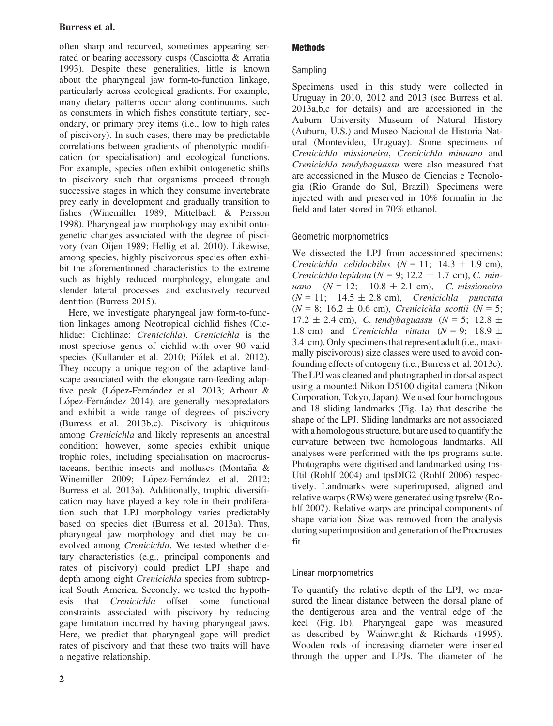# Burress et al.

often sharp and recurved, sometimes appearing serrated or bearing accessory cusps (Casciotta & Arratia 1993). Despite these generalities, little is known about the pharyngeal jaw form-to-function linkage, particularly across ecological gradients. For example, many dietary patterns occur along continuums, such as consumers in which fishes constitute tertiary, secondary, or primary prey items (i.e., low to high rates of piscivory). In such cases, there may be predictable correlations between gradients of phenotypic modification (or specialisation) and ecological functions. For example, species often exhibit ontogenetic shifts to piscivory such that organisms proceed through successive stages in which they consume invertebrate prey early in development and gradually transition to fishes (Winemiller 1989; Mittelbach & Persson 1998). Pharyngeal jaw morphology may exhibit ontogenetic changes associated with the degree of piscivory (van Oijen 1989; Hellig et al. 2010). Likewise, among species, highly piscivorous species often exhibit the aforementioned characteristics to the extreme such as highly reduced morphology, elongate and slender lateral processes and exclusively recurved dentition (Burress 2015).

Here, we investigate pharyngeal jaw form-to-function linkages among Neotropical cichlid fishes (Cichlidae: Cichlinae: Crenicichla). Crenicichla is the most speciose genus of cichlid with over 90 valid species (Kullander et al. 2010; Pialek et al. 2012). They occupy a unique region of the adaptive landscape associated with the elongate ram-feeding adaptive peak (López-Fernández et al. 2013; Arbour & López-Fernández 2014), are generally mesopredators and exhibit a wide range of degrees of piscivory (Burress et al. 2013b,c). Piscivory is ubiquitous among Crenicichla and likely represents an ancestral condition; however, some species exhibit unique trophic roles, including specialisation on macrocrustaceans, benthic insects and molluscs (Montaña  $&$ Winemiller 2009; López-Fernández et al. 2012; Burress et al. 2013a). Additionally, trophic diversification may have played a key role in their proliferation such that LPJ morphology varies predictably based on species diet (Burress et al. 2013a). Thus, pharyngeal jaw morphology and diet may be coevolved among Crenicichla. We tested whether dietary characteristics (e.g., principal components and rates of piscivory) could predict LPJ shape and depth among eight Crenicichla species from subtropical South America. Secondly, we tested the hypothesis that Crenicichla offset some functional constraints associated with piscivory by reducing gape limitation incurred by having pharyngeal jaws. Here, we predict that pharyngeal gape will predict rates of piscivory and that these two traits will have a negative relationship.

## **Methods**

## Sampling

Specimens used in this study were collected in Uruguay in 2010, 2012 and 2013 (see Burress et al. 2013a,b,c for details) and are accessioned in the Auburn University Museum of Natural History (Auburn, U.S.) and Museo Nacional de Historia Natural (Montevideo, Uruguay). Some specimens of Crenicichla missioneira, Crenicichla minuano and Crenicichla tendybaguassu were also measured that are accessioned in the Museo de Ciencias e Tecnologia (Rio Grande do Sul, Brazil). Specimens were injected with and preserved in 10% formalin in the field and later stored in 70% ethanol.

# Geometric morphometrics

We dissected the LPJ from accessioned specimens: Crenicichla celidochilus ( $N = 11$ ; 14.3  $\pm$  1.9 cm), Crenicichla lepidota ( $N = 9$ ; 12.2  $\pm$  1.7 cm), C. minuano  $(N = 12; 10.8 \pm 2.1 \text{ cm})$ , C. missioneira  $(N = 11; 14.5 \pm 2.8 \text{ cm})$ , Crenicichla punctata  $(N = 8; 16.2 \pm 0.6$  cm), Crenicichla scottii  $(N = 5;$  $17.2 \pm 2.4 \text{ cm}$ , *C. tendybaguassu* ( $N = 5$ ;  $12.8 \pm 1$ 1.8 cm) and *Crenicichla vittata*  $(N = 9; 18.9 \pm 1)$ 3.4 cm). Only specimens that represent adult (i.e., maximally piscivorous) size classes were used to avoid confounding effects of ontogeny (i.e., Burress et al. 2013c). The LPJ was cleaned and photographed in dorsal aspect using a mounted Nikon D5100 digital camera (Nikon Corporation, Tokyo, Japan). We used four homologous and 18 sliding landmarks (Fig. 1a) that describe the shape of the LPJ. Sliding landmarks are not associated with a homologous structure, but are used to quantify the curvature between two homologous landmarks. All analyses were performed with the tps programs suite. Photographs were digitised and landmarked using tps-Util (Rohlf 2004) and tpsDIG2 (Rohlf 2006) respectively. Landmarks were superimposed, aligned and relative warps (RWs) were generated using tpsrelw (Rohlf 2007). Relative warps are principal components of shape variation. Size was removed from the analysis during superimposition and generation of the Procrustes fit.

# Linear morphometrics

To quantify the relative depth of the LPJ, we measured the linear distance between the dorsal plane of the dentigerous area and the ventral edge of the keel (Fig. 1b). Pharyngeal gape was measured as described by Wainwright & Richards (1995). Wooden rods of increasing diameter were inserted through the upper and LPJs. The diameter of the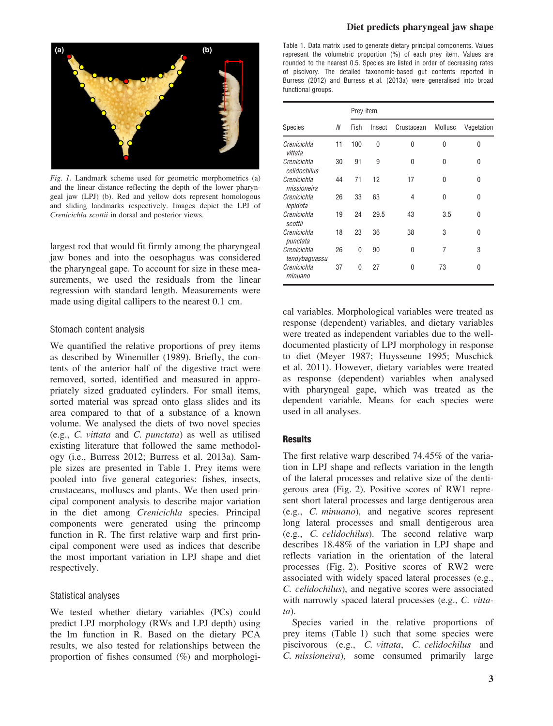

Fig. 1. Landmark scheme used for geometric morphometrics (a) and the linear distance reflecting the depth of the lower pharyngeal jaw (LPJ) (b). Red and yellow dots represent homologous and sliding landmarks respectively. Images depict the LPJ of Crenicichla scottii in dorsal and posterior views.

largest rod that would fit firmly among the pharyngeal jaw bones and into the oesophagus was considered the pharyngeal gape. To account for size in these measurements, we used the residuals from the linear regression with standard length. Measurements were made using digital callipers to the nearest 0.1 cm.

#### Stomach content analysis

We quantified the relative proportions of prey items as described by Winemiller (1989). Briefly, the contents of the anterior half of the digestive tract were removed, sorted, identified and measured in appropriately sized graduated cylinders. For small items, sorted material was spread onto glass slides and its area compared to that of a substance of a known volume. We analysed the diets of two novel species (e.g., C. vittata and C. punctata) as well as utilised existing literature that followed the same methodology (i.e., Burress 2012; Burress et al. 2013a). Sample sizes are presented in Table 1. Prey items were pooled into five general categories: fishes, insects, crustaceans, molluscs and plants. We then used principal component analysis to describe major variation in the diet among Crenicichla species. Principal components were generated using the princomp function in R. The first relative warp and first principal component were used as indices that describe the most important variation in LPJ shape and diet respectively.

### Statistical analyses

We tested whether dietary variables (PCs) could predict LPJ morphology (RWs and LPJ depth) using the lm function in R. Based on the dietary PCA results, we also tested for relationships between the proportion of fishes consumed (%) and morphologiTable 1. Data matrix used to generate dietary principal components. Values represent the volumetric proportion (%) of each prey item. Values are rounded to the nearest 0.5. Species are listed in order of decreasing rates of piscivory. The detailed taxonomic-based gut contents reported in Burress (2012) and Burress et al. (2013a) were generalised into broad functional groups.

|                              |    | Prey item |        |            |          |            |
|------------------------------|----|-----------|--------|------------|----------|------------|
| <b>Species</b>               | N  | Fish      | Insect | Crustacean | Mollusc  | Vegetation |
| Crenicichla<br>vittata       | 11 | 100       | 0      | 0          | 0        | 0          |
| Crenicichla<br>celidochilus  | 30 | 91        | 9      | 0          | 0        | O          |
| Crenicichla<br>missioneira   | 44 | 71        | 12     | 17         | 0        | 0          |
| Crenicichla<br>lepidota      | 26 | 33        | 63     | 4          | $\Omega$ | O          |
| Crenicichla<br>scottii       | 19 | 24        | 29.5   | 43         | 3.5      | O          |
| Crenicichla<br>punctata      | 18 | 23        | 36     | 38         | 3        | O          |
| Crenicichla<br>tendybaguassu | 26 | 0         | 90     | 0          | 7        | 3          |
| Crenicichla<br>minuano       | 37 | 0         | 27     | 0          | 73       | O          |

cal variables. Morphological variables were treated as response (dependent) variables, and dietary variables were treated as independent variables due to the welldocumented plasticity of LPJ morphology in response to diet (Meyer 1987; Huysseune 1995; Muschick et al. 2011). However, dietary variables were treated as response (dependent) variables when analysed with pharyngeal gape, which was treated as the dependent variable. Means for each species were used in all analyses.

## **Results**

The first relative warp described 74.45% of the variation in LPJ shape and reflects variation in the length of the lateral processes and relative size of the dentigerous area (Fig. 2). Positive scores of RW1 represent short lateral processes and large dentigerous area (e.g., C. minuano), and negative scores represent long lateral processes and small dentigerous area (e.g., C. celidochilus). The second relative warp describes 18.48% of the variation in LPJ shape and reflects variation in the orientation of the lateral processes (Fig. 2). Positive scores of RW2 were associated with widely spaced lateral processes (e.g., C. celidochilus), and negative scores were associated with narrowly spaced lateral processes (e.g., C. vittata).

Species varied in the relative proportions of prey items (Table 1) such that some species were piscivorous (e.g., C. vittata, C. celidochilus and C. missioneira), some consumed primarily large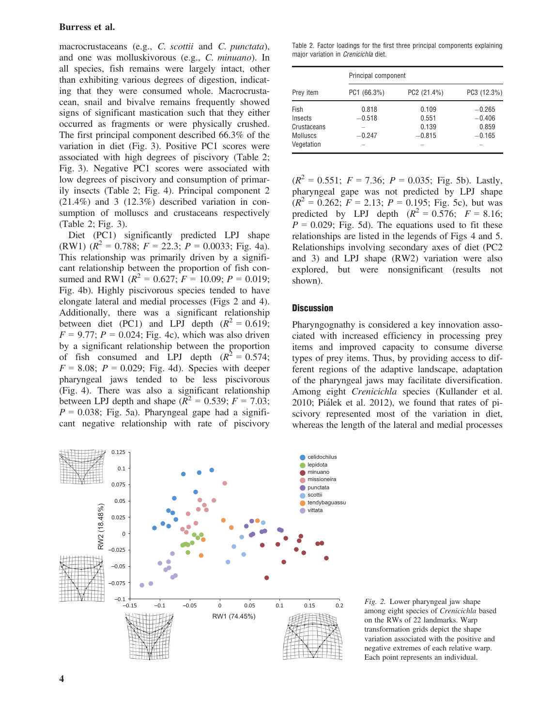## Burress et al.

macrocrustaceans (e.g., C. scottii and C. punctata), and one was molluskivorous (e.g., C. minuano). In all species, fish remains were largely intact, other than exhibiting various degrees of digestion, indicating that they were consumed whole. Macrocrustacean, snail and bivalve remains frequently showed signs of significant mastication such that they either occurred as fragments or were physically crushed. The first principal component described 66.3% of the variation in diet (Fig. 3). Positive PC1 scores were associated with high degrees of piscivory (Table 2; Fig. 3). Negative PC1 scores were associated with low degrees of piscivory and consumption of primarily insects (Table 2; Fig. 4). Principal component 2  $(21.4\%)$  and 3  $(12.3\%)$  described variation in consumption of molluscs and crustaceans respectively (Table 2; Fig. 3).

Diet (PC1) significantly predicted LPJ shape (RW1)  $(R^2 = 0.788; F = 22.3; P = 0.0033; Fig. 4a)$ . This relationship was primarily driven by a significant relationship between the proportion of fish consumed and RW1 ( $R^2 = 0.627$ ;  $F = 10.09$ ;  $P = 0.019$ ; Fig. 4b). Highly piscivorous species tended to have elongate lateral and medial processes (Figs 2 and 4). Additionally, there was a significant relationship between diet (PC1) and LPJ depth  $(R^2 = 0.619)$ ;  $F = 9.77$ ;  $P = 0.024$ ; Fig. 4c), which was also driven by a significant relationship between the proportion of fish consumed and LPJ depth  $(R^2 = 0.574)$ ;  $F = 8.08$ ;  $P = 0.029$ ; Fig. 4d). Species with deeper pharyngeal jaws tended to be less piscivorous (Fig. 4). There was also a significant relationship between LPJ depth and shape  $(R^2 = 0.539; F = 7.03;$  $P = 0.038$ ; Fig. 5a). Pharyngeal gape had a significant negative relationship with rate of piscivory



|                                                                 | Principal component           |                                     |                                           |  |  |  |
|-----------------------------------------------------------------|-------------------------------|-------------------------------------|-------------------------------------------|--|--|--|
| Prey item                                                       | PC1 (66.3%)                   | PC2 (21.4%)                         | PC3 (12.3%)                               |  |  |  |
| Fish<br>Insects<br>Crustaceans<br><b>Molluscs</b><br>Vegetation | 0.818<br>$-0.518$<br>$-0.247$ | 0.109<br>0.551<br>0.139<br>$-0.815$ | $-0.265$<br>$-0.406$<br>0.859<br>$-0.165$ |  |  |  |

 $(R^{2} = 0.551$ ;  $F = 7.36$ ;  $P = 0.035$ ; Fig. 5b). Lastly, pharyngeal gape was not predicted by LPJ shape  $(R^{2} = 0.262; F = 2.13; P = 0.195; Fig. 5c)$ , but was predicted by LPJ depth  $(R^2 = 0.576; F = 8.16;$  $P = 0.029$ ; Fig. 5d). The equations used to fit these relationships are listed in the legends of Figs 4 and 5. Relationships involving secondary axes of diet (PC2 and 3) and LPJ shape (RW2) variation were also explored, but were nonsignificant (results not shown).

#### **Discussion**

Pharyngognathy is considered a key innovation associated with increased efficiency in processing prey items and improved capacity to consume diverse types of prey items. Thus, by providing access to different regions of the adaptive landscape, adaptation of the pharyngeal jaws may facilitate diversification. Among eight Crenicichla species (Kullander et al. 2010; Pialek et al. 2012), we found that rates of piscivory represented most of the variation in diet, whereas the length of the lateral and medial processes



Fig. 2. Lower pharyngeal jaw shape among eight species of Crenicichla based on the RWs of 22 landmarks. Warp transformation grids depict the shape variation associated with the positive and negative extremes of each relative warp. Each point represents an individual.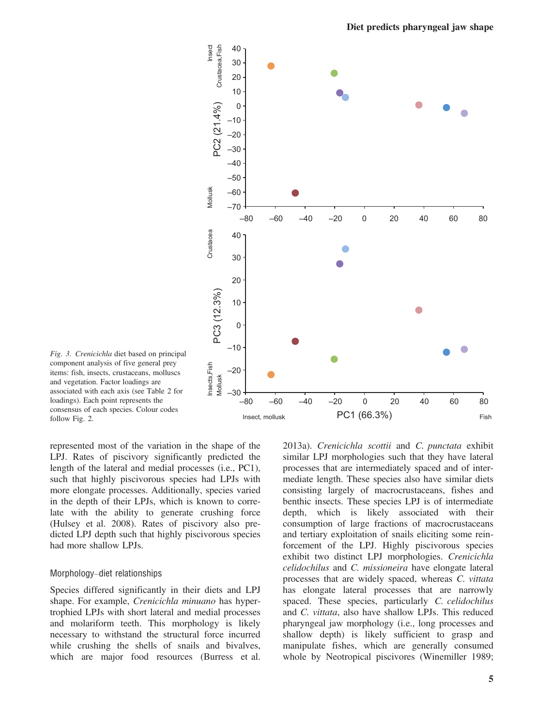

Fig. 3. Crenicichla diet based on principal component analysis of five general prey items: fish, insects, crustaceans, molluscs and vegetation. Factor loadings are associated with each axis (see Table 2 for loadings). Each point represents the consensus of each species. Colour codes follow Fig. 2.

represented most of the variation in the shape of the LPJ. Rates of piscivory significantly predicted the length of the lateral and medial processes (i.e., PC1), such that highly piscivorous species had LPJs with more elongate processes. Additionally, species varied in the depth of their LPJs, which is known to correlate with the ability to generate crushing force (Hulsey et al. 2008). Rates of piscivory also predicted LPJ depth such that highly piscivorous species had more shallow LPJs.

#### Morphology–diet relationships

Species differed significantly in their diets and LPJ shape. For example, Crenicichla minuano has hypertrophied LPJs with short lateral and medial processes and molariform teeth. This morphology is likely necessary to withstand the structural force incurred while crushing the shells of snails and bivalves, which are major food resources (Burress et al.

2013a). Crenicichla scottii and C. punctata exhibit similar LPJ morphologies such that they have lateral processes that are intermediately spaced and of intermediate length. These species also have similar diets consisting largely of macrocrustaceans, fishes and benthic insects. These species LPJ is of intermediate depth, which is likely associated with their consumption of large fractions of macrocrustaceans and tertiary exploitation of snails eliciting some reinforcement of the LPJ. Highly piscivorous species exhibit two distinct LPJ morphologies. Crenicichla celidochilus and C. missioneira have elongate lateral processes that are widely spaced, whereas C. vittata has elongate lateral processes that are narrowly spaced. These species, particularly C. celidochilus and C. vittata, also have shallow LPJs. This reduced pharyngeal jaw morphology (i.e., long processes and shallow depth) is likely sufficient to grasp and manipulate fishes, which are generally consumed whole by Neotropical piscivores (Winemiller 1989;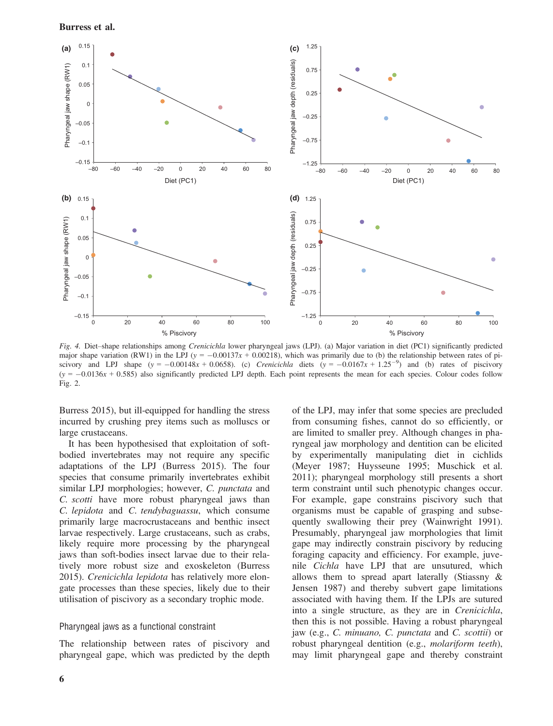



Fig. 4. Diet–shape relationships among Crenicichla lower pharyngeal jaws (LPJ). (a) Major variation in diet (PC1) significantly predicted major shape variation (RW1) in the LPJ ( $y = -0.00137x + 0.00218$ ), which was primarily due to (b) the relationship between rates of piscivory and LPJ shape  $(y = -0.00148x + 0.0658)$ . (c) Crenicichla diets  $(y = -0.0167x + 1.25^{-9})$  and (b) rates of piscivory  $(y = -0.0136x + 0.585)$  also significantly predicted LPJ depth. Each point represents the mean for each species. Colour codes follow Fig. 2.

Burress 2015), but ill-equipped for handling the stress incurred by crushing prey items such as molluscs or large crustaceans.

It has been hypothesised that exploitation of softbodied invertebrates may not require any specific adaptations of the LPJ (Burress 2015). The four species that consume primarily invertebrates exhibit similar LPJ morphologies; however, C. punctata and C. scotti have more robust pharyngeal jaws than C. lepidota and C. tendybaguassu, which consume primarily large macrocrustaceans and benthic insect larvae respectively. Large crustaceans, such as crabs, likely require more processing by the pharyngeal jaws than soft-bodies insect larvae due to their relatively more robust size and exoskeleton (Burress 2015). Crenicichla lepidota has relatively more elongate processes than these species, likely due to their utilisation of piscivory as a secondary trophic mode.

## Pharyngeal jaws as a functional constraint

The relationship between rates of piscivory and pharyngeal gape, which was predicted by the depth of the LPJ, may infer that some species are precluded from consuming fishes, cannot do so efficiently, or are limited to smaller prey. Although changes in pharyngeal jaw morphology and dentition can be elicited by experimentally manipulating diet in cichlids (Meyer 1987; Huysseune 1995; Muschick et al. 2011); pharyngeal morphology still presents a short term constraint until such phenotypic changes occur. For example, gape constrains piscivory such that organisms must be capable of grasping and subsequently swallowing their prey (Wainwright 1991). Presumably, pharyngeal jaw morphologies that limit gape may indirectly constrain piscivory by reducing foraging capacity and efficiency. For example, juvenile Cichla have LPJ that are unsutured, which allows them to spread apart laterally (Stiassny & Jensen 1987) and thereby subvert gape limitations associated with having them. If the LPJs are sutured into a single structure, as they are in Crenicichla, then this is not possible. Having a robust pharyngeal jaw (e.g., C. minuano, C. punctata and C. scottii) or robust pharyngeal dentition (e.g., molariform teeth), may limit pharyngeal gape and thereby constraint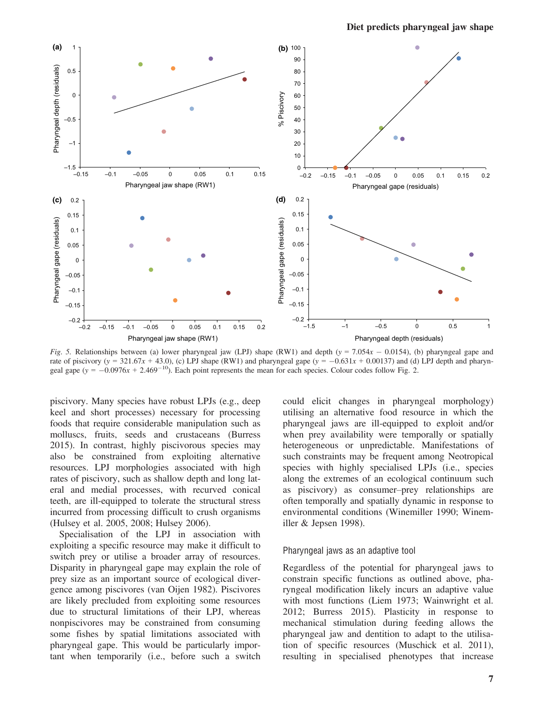

Fig. 5. Relationships between (a) lower pharyngeal jaw (LPJ) shape (RW1) and depth (y = 7.054x - 0.0154), (b) pharyngeal gape and rate of piscivory (y = 321.67x + 43.0), (c) LPJ shape (RW1) and pharyngeal gape (y =  $-0.631x + 0.00137$ ) and (d) LPJ depth and pharyngeal gape ( $y = -0.0976x + 2.469^{-10}$ ). Each point represents the mean for each species. Colour codes follow Fig. 2.

piscivory. Many species have robust LPJs (e.g., deep keel and short processes) necessary for processing foods that require considerable manipulation such as molluscs, fruits, seeds and crustaceans (Burress 2015). In contrast, highly piscivorous species may also be constrained from exploiting alternative resources. LPJ morphologies associated with high rates of piscivory, such as shallow depth and long lateral and medial processes, with recurved conical teeth, are ill-equipped to tolerate the structural stress incurred from processing difficult to crush organisms (Hulsey et al. 2005, 2008; Hulsey 2006).

Specialisation of the LPJ in association with exploiting a specific resource may make it difficult to switch prey or utilise a broader array of resources. Disparity in pharyngeal gape may explain the role of prey size as an important source of ecological divergence among piscivores (van Oijen 1982). Piscivores are likely precluded from exploiting some resources due to structural limitations of their LPJ, whereas nonpiscivores may be constrained from consuming some fishes by spatial limitations associated with pharyngeal gape. This would be particularly important when temporarily (i.e., before such a switch could elicit changes in pharyngeal morphology) utilising an alternative food resource in which the pharyngeal jaws are ill-equipped to exploit and/or when prey availability were temporally or spatially heterogeneous or unpredictable. Manifestations of such constraints may be frequent among Neotropical species with highly specialised LPJs (i.e., species along the extremes of an ecological continuum such as piscivory) as consumer–prey relationships are often temporally and spatially dynamic in response to environmental conditions (Winemiller 1990; Winemiller & Jepsen 1998).

#### Pharyngeal jaws as an adaptive tool

Regardless of the potential for pharyngeal jaws to constrain specific functions as outlined above, pharyngeal modification likely incurs an adaptive value with most functions (Liem 1973; Wainwright et al. 2012; Burress 2015). Plasticity in response to mechanical stimulation during feeding allows the pharyngeal jaw and dentition to adapt to the utilisation of specific resources (Muschick et al. 2011), resulting in specialised phenotypes that increase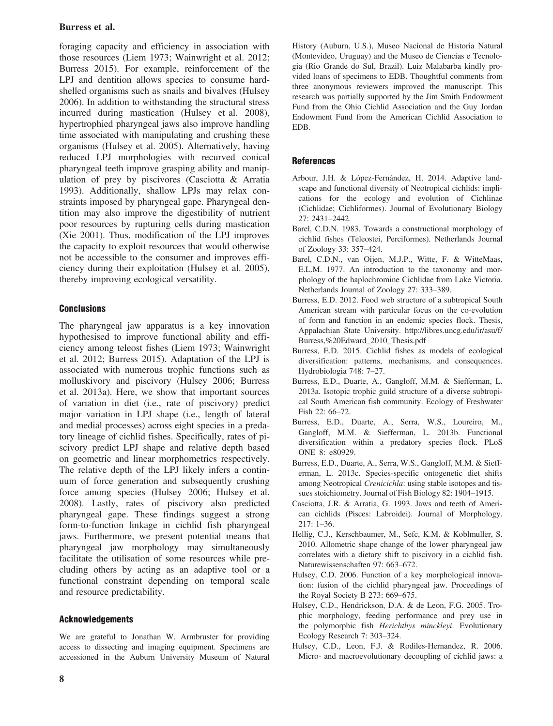## Burress et al.

foraging capacity and efficiency in association with those resources (Liem 1973; Wainwright et al. 2012; Burress 2015). For example, reinforcement of the LPJ and dentition allows species to consume hardshelled organisms such as snails and bivalves (Hulsey 2006). In addition to withstanding the structural stress incurred during mastication (Hulsey et al. 2008), hypertrophied pharyngeal jaws also improve handling time associated with manipulating and crushing these organisms (Hulsey et al. 2005). Alternatively, having reduced LPJ morphologies with recurved conical pharyngeal teeth improve grasping ability and manipulation of prey by piscivores (Casciotta & Arratia 1993). Additionally, shallow LPJs may relax constraints imposed by pharyngeal gape. Pharyngeal dentition may also improve the digestibility of nutrient poor resources by rupturing cells during mastication (Xie 2001). Thus, modification of the LPJ improves the capacity to exploit resources that would otherwise not be accessible to the consumer and improves efficiency during their exploitation (Hulsey et al. 2005), thereby improving ecological versatility.

## **Conclusions**

The pharyngeal jaw apparatus is a key innovation hypothesised to improve functional ability and efficiency among teleost fishes (Liem 1973; Wainwright et al. 2012; Burress 2015). Adaptation of the LPJ is associated with numerous trophic functions such as molluskivory and piscivory (Hulsey 2006; Burress et al. 2013a). Here, we show that important sources of variation in diet (i.e., rate of piscivory) predict major variation in LPJ shape (i.e., length of lateral and medial processes) across eight species in a predatory lineage of cichlid fishes. Specifically, rates of piscivory predict LPJ shape and relative depth based on geometric and linear morphometrics respectively. The relative depth of the LPJ likely infers a continuum of force generation and subsequently crushing force among species (Hulsey 2006; Hulsey et al. 2008). Lastly, rates of piscivory also predicted pharyngeal gape. These findings suggest a strong form-to-function linkage in cichlid fish pharyngeal jaws. Furthermore, we present potential means that pharyngeal jaw morphology may simultaneously facilitate the utilisation of some resources while precluding others by acting as an adaptive tool or a functional constraint depending on temporal scale and resource predictability.

## Acknowledgements

We are grateful to Jonathan W. Armbruster for providing access to dissecting and imaging equipment. Specimens are accessioned in the Auburn University Museum of Natural History (Auburn, U.S.), Museo Nacional de Historia Natural (Montevideo, Uruguay) and the Museo de Ciencias e Tecnologia (Rio Grande do Sul, Brazil). Luiz Malabarba kindly provided loans of specimens to EDB. Thoughtful comments from three anonymous reviewers improved the manuscript. This research was partially supported by the Jim Smith Endowment Fund from the Ohio Cichlid Association and the Guy Jordan Endowment Fund from the American Cichlid Association to EDB.

## **References**

- Arbour, J.H. & López-Fernández, H. 2014. Adaptive landscape and functional diversity of Neotropical cichlids: implications for the ecology and evolution of Cichlinae (Cichlidae; Cichliformes). Journal of Evolutionary Biology 27: 2431–2442.
- Barel, C.D.N. 1983. Towards a constructional morphology of cichlid fishes (Teleostei, Perciformes). Netherlands Journal of Zoology 33: 357–424.
- Barel, C.D.N., van Oijen, M.J.P., Witte, F. & WitteMaas, E.L.M. 1977. An introduction to the taxonomy and morphology of the haplochromine Cichlidae from Lake Victoria. Netherlands Journal of Zoology 27: 333–389.
- Burress, E.D. 2012. Food web structure of a subtropical South American stream with particular focus on the co-evolution of form and function in an endemic species flock. Thesis, Appalachian State University. [http://libres.uncg.edu/ir/asu/f/](http://libres.uncg.edu/ir/asu/f/Burress,%20Edward_2010_Thesis.pdf) [Burress,%20Edward\\_2010\\_Thesis.pdf](http://libres.uncg.edu/ir/asu/f/Burress,%20Edward_2010_Thesis.pdf)
- Burress, E.D. 2015. Cichlid fishes as models of ecological diversification: patterns, mechanisms, and consequences. Hydrobiologia 748: 7–27.
- Burress, E.D., Duarte, A., Gangloff, M.M. & Siefferman, L. 2013a. Isotopic trophic guild structure of a diverse subtropical South American fish community. Ecology of Freshwater Fish 22: 66–72.
- Burress, E.D., Duarte, A., Serra, W.S., Loureiro, M., Gangloff, M.M. & Siefferman, L. 2013b. Functional diversification within a predatory species flock. PLoS ONE 8: e80929.
- Burress, E.D., Duarte, A., Serra, W.S., Gangloff, M.M. & Siefferman, L. 2013c. Species-specific ontogenetic diet shifts among Neotropical Crenicichla: using stable isotopes and tissues stoichiometry. Journal of Fish Biology 82: 1904–1915.
- Casciotta, J.R. & Arratia, G. 1993. Jaws and teeth of American cichlids (Pisces: Labroidei). Journal of Morphology. 217: 1–36.
- Hellig, C.J., Kerschbaumer, M., Sefc, K.M. & Koblmuller, S. 2010. Allometric shape change of the lower pharyngeal jaw correlates with a dietary shift to piscivory in a cichlid fish. Naturewissenschaften 97: 663–672.
- Hulsey, C.D. 2006. Function of a key morphological innovation: fusion of the cichlid pharyngeal jaw. Proceedings of the Royal Society B 273: 669–675.
- Hulsey, C.D., Hendrickson, D.A. & de Leon, F.G. 2005. Trophic morphology, feeding performance and prey use in the polymorphic fish Herichthys minckleyi. Evolutionary Ecology Research 7: 303–324.
- Hulsey, C.D., Leon, F.J. & Rodiles-Hernandez, R. 2006. Micro- and macroevolutionary decoupling of cichlid jaws: a